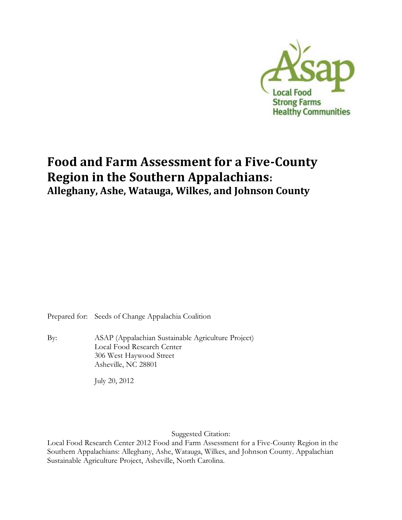

# **Food and Farm Assessment for a Five-County Region in the Southern Appalachians: Alleghany, Ashe, Watauga, Wilkes, and Johnson County**

Prepared for: Seeds of Change Appalachia Coalition

By: ASAP (Appalachian Sustainable Agriculture Project) Local Food Research Center 306 West Haywood Street Asheville, NC 28801

July 20, 2012

Suggested Citation:

Local Food Research Center 2012 Food and Farm Assessment for a Five-County Region in the Southern Appalachians: Alleghany, Ashe, Watauga, Wilkes, and Johnson County. Appalachian Sustainable Agriculture Project, Asheville, North Carolina.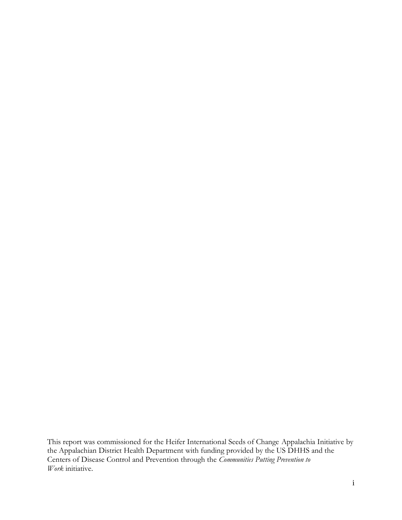This report was commissioned for the Heifer International Seeds of Change Appalachia Initiative by the Appalachian District Health Department with funding provided by the US DHHS and the Centers of Disease Control and Prevention through the *Communities Putting Prevention to Work* initiative.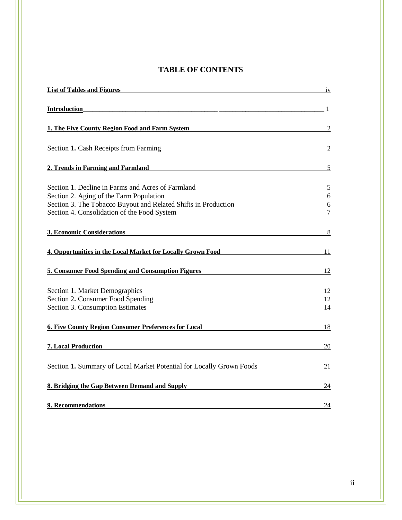# **TABLE OF CONTENTS**

| <b>List of Tables and Figures</b>                                                                                                                                                                             | iv               |
|---------------------------------------------------------------------------------------------------------------------------------------------------------------------------------------------------------------|------------------|
| Introduction                                                                                                                                                                                                  | 1                |
| 1. The Five County Region Food and Farm System                                                                                                                                                                | 2                |
| Section 1. Cash Receipts from Farming                                                                                                                                                                         | 2                |
| 2. Trends in Farming and Farmland                                                                                                                                                                             | 5                |
| Section 1. Decline in Farms and Acres of Farmland<br>Section 2. Aging of the Farm Population<br>Section 3. The Tobacco Buyout and Related Shifts in Production<br>Section 4. Consolidation of the Food System | 5<br>6<br>6<br>7 |
| <b>3. Economic Considerations</b>                                                                                                                                                                             | 8                |
| 4. Opportunities in the Local Market for Locally Grown Food                                                                                                                                                   | 11               |
| 5. Consumer Food Spending and Consumption Figures                                                                                                                                                             | 12               |
| Section 1. Market Demographics<br>Section 2. Consumer Food Spending<br>Section 3. Consumption Estimates                                                                                                       | 12<br>12<br>14   |
| <b>6. Five County Region Consumer Preferences for Local</b>                                                                                                                                                   | 18               |
| 7. Local Production                                                                                                                                                                                           | 20               |
| Section 1. Summary of Local Market Potential for Locally Grown Foods                                                                                                                                          | 21               |
| 8. Bridging the Gap Between Demand and Supply                                                                                                                                                                 | $\overline{24}$  |
| 9. Recommendations                                                                                                                                                                                            | 24               |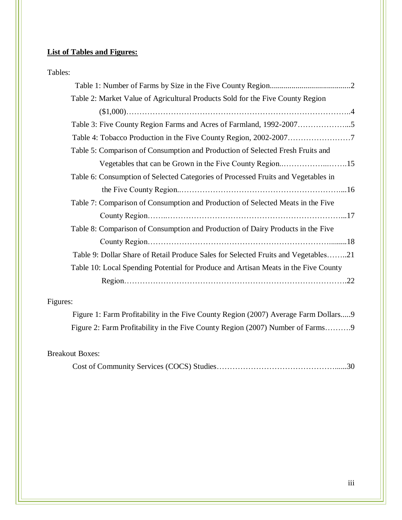# **List of Tables and Figures:**

| Tables: |                                                                                     |
|---------|-------------------------------------------------------------------------------------|
|         |                                                                                     |
|         | Table 2: Market Value of Agricultural Products Sold for the Five County Region      |
|         |                                                                                     |
|         | Table 3: Five County Region Farms and Acres of Farmland, 1992-20075                 |
|         |                                                                                     |
|         | Table 5: Comparison of Consumption and Production of Selected Fresh Fruits and      |
|         |                                                                                     |
|         | Table 6: Consumption of Selected Categories of Processed Fruits and Vegetables in   |
|         |                                                                                     |
|         | Table 7: Comparison of Consumption and Production of Selected Meats in the Five     |
|         |                                                                                     |
|         | Table 8: Comparison of Consumption and Production of Dairy Products in the Five     |
|         |                                                                                     |
|         | Table 9: Dollar Share of Retail Produce Sales for Selected Fruits and Vegetables21  |
|         | Table 10: Local Spending Potential for Produce and Artisan Meats in the Five County |
|         |                                                                                     |

# Figures:

| Figure 1: Farm Profitability in the Five County Region (2007) Average Farm Dollars |  |
|------------------------------------------------------------------------------------|--|
| Figure 2: Farm Profitability in the Five County Region (2007) Number of Farms9     |  |

# Breakout Boxes:

|--|--|--|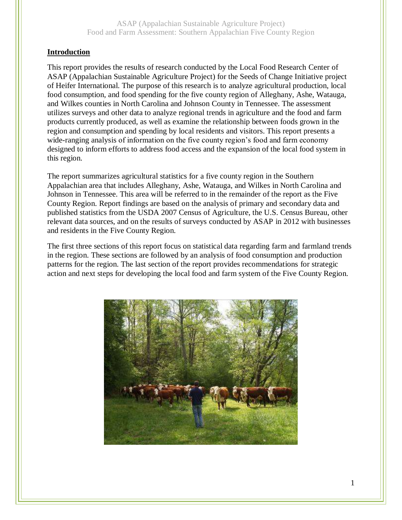#### **Introduction**

This report provides the results of research conducted by the Local Food Research Center of ASAP (Appalachian Sustainable Agriculture Project) for the Seeds of Change Initiative project of Heifer International. The purpose of this research is to analyze agricultural production, local food consumption, and food spending for the five county region of Alleghany, Ashe, Watauga, and Wilkes counties in North Carolina and Johnson County in Tennessee. The assessment utilizes surveys and other data to analyze regional trends in agriculture and the food and farm products currently produced, as well as examine the relationship between foods grown in the region and consumption and spending by local residents and visitors. This report presents a wide-ranging analysis of information on the five county region's food and farm economy designed to inform efforts to address food access and the expansion of the local food system in this region.

The report summarizes agricultural statistics for a five county region in the Southern Appalachian area that includes Alleghany, Ashe, Watauga, and Wilkes in North Carolina and Johnson in Tennessee. This area will be referred to in the remainder of the report as the Five County Region. Report findings are based on the analysis of primary and secondary data and published statistics from the USDA 2007 Census of Agriculture, the U.S. Census Bureau, other relevant data sources, and on the results of surveys conducted by ASAP in 2012 with businesses and residents in the Five County Region.

The first three sections of this report focus on statistical data regarding farm and farmland trends in the region. These sections are followed by an analysis of food consumption and production patterns for the region. The last section of the report provides recommendations for strategic action and next steps for developing the local food and farm system of the Five County Region.

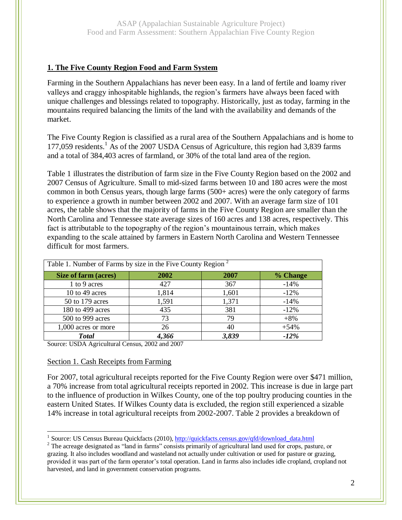# **1. The Five County Region Food and Farm System**

Farming in the Southern Appalachians has never been easy. In a land of fertile and loamy river valleys and craggy inhospitable highlands, the region's farmers have always been faced with unique challenges and blessings related to topography. Historically, just as today, farming in the mountains required balancing the limits of the land with the availability and demands of the market.

The Five County Region is classified as a rural area of the Southern Appalachians and is home to 177,059 residents.<sup>1</sup> As of the 2007 USDA Census of Agriculture, this region had 3,839 farms and a total of 384,403 acres of farmland, or 30% of the total land area of the region.

Table 1 illustrates the distribution of farm size in the Five County Region based on the 2002 and 2007 Census of Agriculture. Small to mid-sized farms between 10 and 180 acres were the most common in both Census years, though large farms (500+ acres) were the only category of farms to experience a growth in number between 2002 and 2007. With an average farm size of 101 acres, the table shows that the majority of farms in the Five County Region are smaller than the North Carolina and Tennessee state average sizes of 160 acres and 138 acres, respectively. This fact is attributable to the topography of the region's mountainous terrain, which makes expanding to the scale attained by farmers in Eastern North Carolina and Western Tennessee difficult for most farmers.

| Table 1. Number of Farms by size in the Five County Region |       |       |          |  |
|------------------------------------------------------------|-------|-------|----------|--|
| Size of farm (acres)                                       | 2002  | 2007  | % Change |  |
| 1 to 9 acres                                               | 427   | 367   | $-14%$   |  |
| 10 to 49 acres                                             | 1,814 | 1,601 | $-12%$   |  |
| 50 to 179 acres                                            | 1,591 | 1,371 | $-14%$   |  |
| 180 to 499 acres                                           | 435   | 381   | $-12%$   |  |
| 500 to 999 acres                                           | 73    | 79    | $+8%$    |  |
| 1,000 acres or more                                        | 26    | 40    | $+54%$   |  |
| <b>Total</b>                                               | 4,366 | 3,839 | $-12\%$  |  |

Source: USDA Agricultural Census, 2002 and 2007

## Section 1. Cash Receipts from Farming

For 2007, total agricultural receipts reported for the Five County Region were over \$471 million, a 70% increase from total agricultural receipts reported in 2002. This increase is due in large part to the influence of production in Wilkes County, one of the top poultry producing counties in the eastern United States. If Wilkes County data is excluded, the region still experienced a sizable 14% increase in total agricultural receipts from 2002-2007. Table 2 provides a breakdown of

 $\overline{a}$ <sup>1</sup> Source: US Census Bureau Quickfacts (2010)[, http://quickfacts.census.gov/qfd/download\\_data.html](http://quickfacts.census.gov/qfd/download_data.html)

<sup>&</sup>lt;sup>2</sup> The acreage designated as "land in farms" consists primarily of agricultural land used for crops, pasture, or grazing. It also includes woodland and wasteland not actually under cultivation or used for pasture or grazing, provided it was part of the farm operator's total operation. Land in farms also includes idle cropland, cropland not harvested, and land in government conservation programs.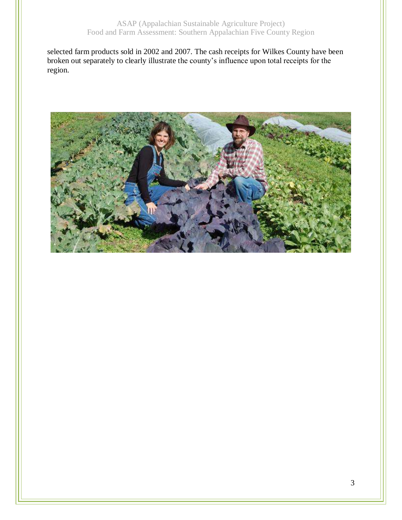selected farm products sold in 2002 and 2007. The cash receipts for Wilkes County have been broken out separately to clearly illustrate the county's influence upon total receipts for the region.

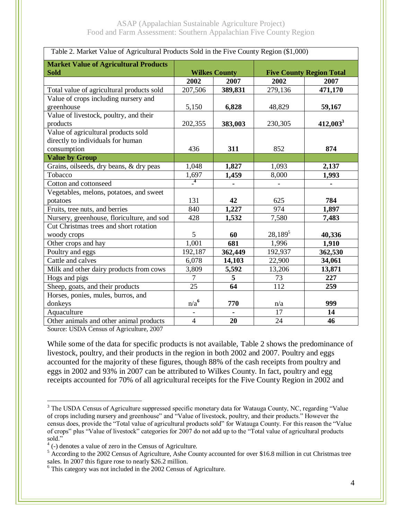| Table 2. Market Value of Agricultural Products Sold in the Five County Region (\$1,000)                                                |                      |                 |                                 |             |
|----------------------------------------------------------------------------------------------------------------------------------------|----------------------|-----------------|---------------------------------|-------------|
| <b>Market Value of Agricultural Products</b>                                                                                           |                      |                 |                                 |             |
| <b>Sold</b>                                                                                                                            | <b>Wilkes County</b> |                 | <b>Five County Region Total</b> |             |
|                                                                                                                                        | 2002                 | 2007            | 2002                            | 2007        |
| Total value of agricultural products sold                                                                                              | 207,506              | 389,831         | 279,136                         | 471,170     |
| Value of crops including nursery and                                                                                                   |                      |                 |                                 |             |
| greenhouse                                                                                                                             | 5,150                | 6,828           | 48,829                          | 59,167      |
| Value of livestock, poultry, and their                                                                                                 |                      |                 |                                 |             |
| products                                                                                                                               | 202,355              | 383,003         | 230,305                         | $412,003^3$ |
| Value of agricultural products sold                                                                                                    |                      |                 |                                 |             |
| directly to individuals for human                                                                                                      |                      |                 |                                 |             |
| consumption                                                                                                                            | 436                  | 311             | 852                             | 874         |
| <b>Value by Group</b>                                                                                                                  |                      |                 |                                 |             |
| Grains, oilseeds, dry beans, & dry peas                                                                                                | 1,048                | 1,827           | 1,093                           | 2,137       |
| Tobacco                                                                                                                                | 1,697                | 1,459           | 8,000                           | 1,993       |
| Cotton and cottonseed                                                                                                                  | $\overline{4}$       |                 |                                 |             |
| Vegetables, melons, potatoes, and sweet                                                                                                |                      |                 |                                 |             |
| potatoes                                                                                                                               | 131                  | 42              | 625                             | 784         |
| Fruits, tree nuts, and berries                                                                                                         | 840                  | 1,227           | 974                             | 1,897       |
| Nursery, greenhouse, floriculture, and sod                                                                                             | 428                  | 1,532           | 7,580                           | 7,483       |
| Cut Christmas trees and short rotation                                                                                                 |                      |                 |                                 |             |
| woody crops                                                                                                                            | 5                    | 60              | $28,189^5$                      | 40,336      |
| Other crops and hay                                                                                                                    | 1,001                | 681             | 1,996                           | 1,910       |
| Poultry and eggs                                                                                                                       | 192,187              | 362,449         | 192,937                         | 362,530     |
| Cattle and calves                                                                                                                      | 6,078                | 14,103          | 22,900                          | 34,061      |
| Milk and other dairy products from cows                                                                                                | 3,809                | 5,592           | 13,206                          | 13,871      |
| Hogs and pigs                                                                                                                          | 7                    | 5               | 73                              | 227         |
| Sheep, goats, and their products                                                                                                       | $\overline{25}$      | $\overline{64}$ | 112                             | 259         |
| Horses, ponies, mules, burros, and                                                                                                     |                      |                 |                                 |             |
| donkeys                                                                                                                                | n/a <sup>6</sup>     | 770             | n/a                             | 999         |
| Aquaculture                                                                                                                            | $\blacksquare$       | $\blacksquare$  | 17                              | 14          |
| Other animals and other animal products<br>$S_{\text{out}}$ $\text{J}\text{CDA}$ $\text{Conv of } \text{A}$ $\text{min}$ $\text{D}007$ | $\overline{4}$       | 20              | 24                              | 46          |

Source: USDA Census of Agriculture, 2007

 $\overline{a}$ 

While some of the data for specific products is not available, Table 2 shows the predominance of livestock, poultry, and their products in the region in both 2002 and 2007. Poultry and eggs accounted for the majority of these figures, though 88% of the cash receipts from poultry and eggs in 2002 and 93% in 2007 can be attributed to Wilkes County. In fact, poultry and egg receipts accounted for 70% of all agricultural receipts for the Five County Region in 2002 and

<sup>&</sup>lt;sup>3</sup> The USDA Census of Agriculture suppressed specific monetary data for Watauga County, NC, regarding "Value" of crops including nursery and greenhouse" and "Value of livestock, poultry, and their products." However the census does, provide the "Total value of agricultural products sold" for Watauga County. For this reason the "Value of crops" plus "Value of livestock" categories for 2007 do not add up to the "Total value of agricultural products sold."

 $4$  (-) denotes a value of zero in the Census of Agriculture.

<sup>&</sup>lt;sup>5</sup> According to the 2002 Census of Agriculture, Ashe County accounted for over \$16.8 million in cut Christmas tree sales. In 2007 this figure rose to nearly \$26.2 million.

<sup>6</sup> This category was not included in the 2002 Census of Agriculture.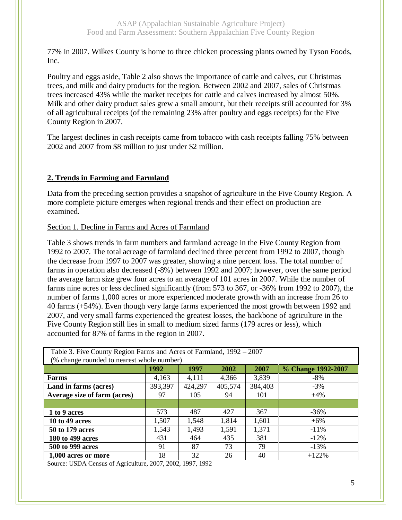77% in 2007. Wilkes County is home to three chicken processing plants owned by Tyson Foods, Inc.

Poultry and eggs aside, Table 2 also shows the importance of cattle and calves, cut Christmas trees, and milk and dairy products for the region. Between 2002 and 2007, sales of Christmas trees increased 43% while the market receipts for cattle and calves increased by almost 50%. Milk and other dairy product sales grew a small amount, but their receipts still accounted for 3% of all agricultural receipts (of the remaining 23% after poultry and eggs receipts) for the Five County Region in 2007.

The largest declines in cash receipts came from tobacco with cash receipts falling 75% between 2002 and 2007 from \$8 million to just under \$2 million.

# **2. Trends in Farming and Farmland**

Data from the preceding section provides a snapshot of agriculture in the Five County Region. A more complete picture emerges when regional trends and their effect on production are examined.

Section 1. Decline in Farms and Acres of Farmland

Table 3 shows trends in farm numbers and farmland acreage in the Five County Region from 1992 to 2007. The total acreage of farmland declined three percent from 1992 to 2007, though the decrease from 1997 to 2007 was greater, showing a nine percent loss. The total number of farms in operation also decreased (-8%) between 1992 and 2007; however, over the same period the average farm size grew four acres to an average of 101 acres in 2007. While the number of farms nine acres or less declined significantly (from 573 to 367, or -36% from 1992 to 2007), the number of farms 1,000 acres or more experienced moderate growth with an increase from 26 to 40 farms (+54%). Even though very large farms experienced the most growth between 1992 and 2007, and very small farms experienced the greatest losses, the backbone of agriculture in the Five County Region still lies in small to medium sized farms (179 acres or less), which accounted for 87% of farms in the region in 2007.

| Table 3. Five County Region Farms and Acres of Farmland, 1992 - 2007 |         |         |         |         |                    |
|----------------------------------------------------------------------|---------|---------|---------|---------|--------------------|
| (% change rounded to nearest whole number)                           |         |         |         |         |                    |
|                                                                      | 1992    | 1997    | 2002    | 2007    | % Change 1992-2007 |
| Farms                                                                | 4,163   | 4,111   | 4,366   | 3,839   | -8%                |
| Land in farms (acres)                                                | 393,397 | 424,297 | 405,574 | 384,403 | $-3%$              |
| Average size of farm (acres)                                         | 97      | 105     | 94      | 101     | $+4%$              |
|                                                                      |         |         |         |         |                    |
| 1 to 9 acres                                                         | 573     | 487     | 427     | 367     | $-36\%$            |
| <b>10 to 49 acres</b>                                                | 1,507   | 1,548   | 1,814   | 1,601   | $+6\%$             |
| 50 to 179 acres                                                      | 1,543   | 1,493   | 1,591   | 1,371   | $-11\%$            |
| 180 to 499 acres                                                     | 431     | 464     | 435     | 381     | $-12\%$            |
| 500 to 999 acres                                                     | 91      | 87      | 73      | 79      | $-13%$             |
| 1,000 acres or more                                                  | 18      | 32      | 26      | 40      | $+122%$            |

Source: USDA Census of Agriculture, 2007, 2002, 1997, 1992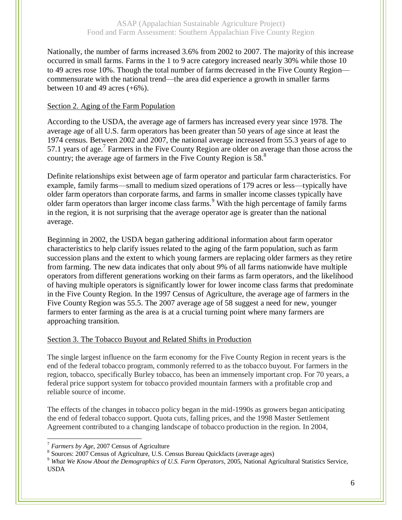Nationally, the number of farms increased 3.6% from 2002 to 2007. The majority of this increase occurred in small farms. Farms in the 1 to 9 acre category increased nearly 30% while those 10 to 49 acres rose 10%. Though the total number of farms decreased in the Five County Region commensurate with the national trend—the area did experience a growth in smaller farms between 10 and 49 acres  $(+6%)$ .

## Section 2. Aging of the Farm Population

According to the USDA, the average age of farmers has increased every year since 1978. The average age of all U.S. farm operators has been greater than 50 years of age since at least the 1974 census. Between 2002 and 2007, the national average increased from 55.3 years of age to 57.1 years of age.<sup>7</sup> Farmers in the Five County Region are older on average than those across the country; the average age of farmers in the Five County Region is 58.<sup>8</sup>

Definite relationships exist between age of farm operator and particular farm characteristics. For example, family farms—small to medium sized operations of 179 acres or less—typically have older farm operators than corporate farms, and farms in smaller income classes typically have older farm operators than larger income class farms.<sup>9</sup> With the high percentage of family farms in the region, it is not surprising that the average operator age is greater than the national average.

Beginning in 2002, the USDA began gathering additional information about farm operator characteristics to help clarify issues related to the aging of the farm population, such as farm succession plans and the extent to which young farmers are replacing older farmers as they retire from farming. The new data indicates that only about 9% of all farms nationwide have multiple operators from different generations working on their farms as farm operators, and the likelihood of having multiple operators is significantly lower for lower income class farms that predominate in the Five County Region. In the 1997 Census of Agriculture, the average age of farmers in the Five County Region was 55.5. The 2007 average age of 58 suggest a need for new, younger farmers to enter farming as the area is at a crucial turning point where many farmers are approaching transition.

## Section 3. The Tobacco Buyout and Related Shifts in Production

The single largest influence on the farm economy for the Five County Region in recent years is the end of the federal tobacco program, commonly referred to as the tobacco buyout. For farmers in the region, tobacco, specifically Burley tobacco, has been an immensely important crop. For 70 years, a federal price support system for tobacco provided mountain farmers with a profitable crop and reliable source of income.

The effects of the changes in tobacco policy began in the mid-1990s as growers began anticipating the end of federal tobacco support. Quota cuts, falling prices, and the 1998 Master Settlement Agreement contributed to a changing landscape of tobacco production in the region. In 2004,

<sup>7</sup> *Farmers by Age*, 2007 Census of Agriculture

<sup>&</sup>lt;sup>8</sup> Sources: 2007 Census of Agriculture, U.S. Census Bureau Quickfacts (average ages)

<sup>9</sup> *What We Know About the Demographics of U.S. Farm Operators*, 2005, National Agricultural Statistics Service, USDA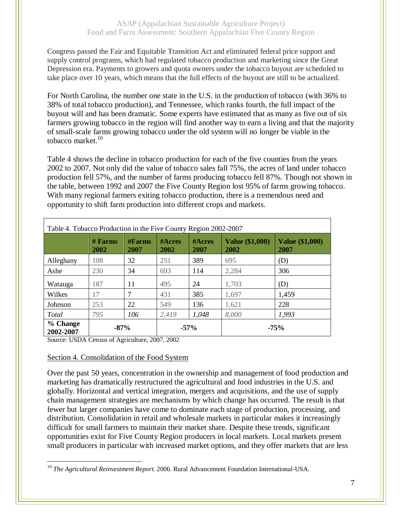Congress passed the Fair and Equitable Transition Act and eliminated federal price support and supply control programs, which had regulated tobacco production and marketing since the Great Depression era. Payments to growers and quota owners under the tobacco buyout are scheduled to take place over 10 years, which means that the full effects of the buyout are still to be actualized.

For North Carolina, the number one state in the U.S. in the production of tobacco (with 36% to 38% of total tobacco production), and Tennessee, which ranks fourth, the full impact of the buyout will and has been dramatic. Some experts have estimated that as many as five out of six farmers growing tobacco in the region will find another way to earn a living and that the majority of small-scale farms growing tobacco under the old system will no longer be viable in the tobacco market. $10$ 

Table 4 shows the decline in tobacco production for each of the five counties from the years 2002 to 2007. Not only did the value of tobacco sales fall 75%, the acres of land under tobacco production fell 57%, and the number of farms producing tobacco fell 87%. Though not shown in the table, between 1992 and 2007 the Five County Region lost 95% of farms growing tobacco. With many regional farmers exiting tobacco production, there is a tremendous need and opportunity to shift farm production into different crops and markets.

| Table 4. Tobacco Production in the Five County Region 2002-2007 |                   |                         |                    |                       |                                |                                |
|-----------------------------------------------------------------|-------------------|-------------------------|--------------------|-----------------------|--------------------------------|--------------------------------|
|                                                                 | $#$ Farms<br>2002 | $#F\text{arms}$<br>2007 | $\#$ Acres<br>2002 | <b>#Acres</b><br>2007 | <b>Value (\$1,000)</b><br>2002 | <b>Value (\$1,000)</b><br>2007 |
| Alleghany                                                       | 108               | 32                      | 251                | 389                   | 695                            | (D)                            |
| Ashe                                                            | 230               | 34                      | 693                | 114                   | 2,284                          | 306                            |
| Watauga                                                         | 187               | 11                      | 495                | 24                    | 1,703                          | (D)                            |
| Wilkes                                                          | 17                | 7                       | 431                | 385                   | 1,697                          | 1,459                          |
| Johnson                                                         | 253               | 22                      | 549                | 136                   | 1,621                          | 228                            |
| Total                                                           | 795               | 106                     | 2,419              | 1,048                 | 8,000                          | 1,993                          |
| % Change<br>2002-2007                                           | $-87%$            |                         | $-57%$             |                       |                                | $-75%$                         |

Source: USDA Census of Agriculture, 2007, 2002

#### Section 4. Consolidation of the Food System

Over the past 50 years, concentration in the ownership and management of food production and marketing has dramatically restructured the agricultural and food industries in the U.S. and globally. Horizontal and vertical integration, mergers and acquisitions, and the use of supply chain management strategies are mechanisms by which change has occurred. The result is that fewer but larger companies have come to dominate each stage of production, processing, and distribution. Consolidation in retail and wholesale markets in particular makes it increasingly difficult for small farmers to maintain their market share. Despite these trends, significant opportunities exist for Five County Region producers in local markets. Local markets present small producers in particular with increased market options, and they offer markets that are less

 $\overline{a}$ <sup>10</sup> *The Agricultural Reinvestment Report.* 2006. Rural Advancement Foundation International-USA.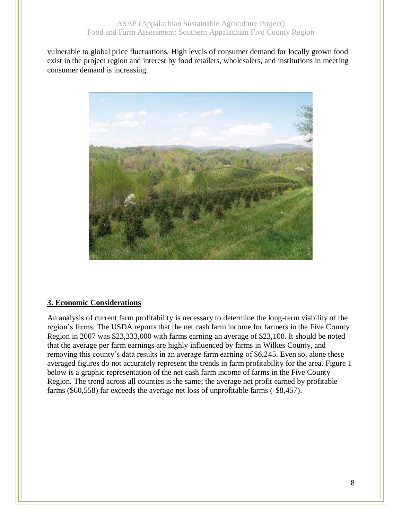vulnerable to global price fluctuations. High levels of consumer demand for locally grown food exist in the project region and interest by food retailers, wholesalers, and institutions in meeting consumer demand is increasing.



#### **3. Economic Considerations**

An analysis of current farm profitability is necessary to determine the long-term viability of the region's farms. The USDA reports that the net cash farm income for farmers in the Five County Region in 2007 was \$23,333,000 with farms earning an average of \$23,100. It should be noted that the average per farm earnings are highly influenced by farms in Wilkes County, and removing this county's data results in an average farm earning of \$6,245. Even so, alone these averaged figures do not accurately represent the trends in farm profitability for the area. Figure 1 below is a graphic representation of the net cash farm income of farms in the Five County Region. The trend across all counties is the same; the average net profit earned by profitable farms (\$60,558) far exceeds the average net loss of unprofitable farms (-\$8,457).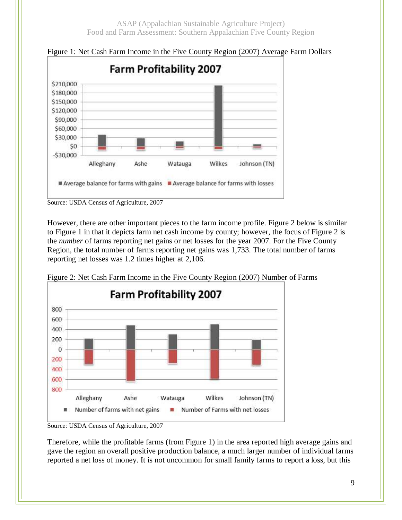

Figure 1: Net Cash Farm Income in the Five County Region (2007) Average Farm Dollars

However, there are other important pieces to the farm income profile. Figure 2 below is similar to Figure 1 in that it depicts farm net cash income by county; however, the focus of Figure 2 is the *number* of farms reporting net gains or net losses for the year 2007. For the Five County Region, the total number of farms reporting net gains was 1,733. The total number of farms reporting net losses was 1.2 times higher at 2,106.



Figure 2: Net Cash Farm Income in the Five County Region (2007) Number of Farms

Therefore, while the profitable farms (from Figure 1) in the area reported high average gains and gave the region an overall positive production balance, a much larger number of individual farms reported a net loss of money. It is not uncommon for small family farms to report a loss, but this

Source: USDA Census of Agriculture, 2007

Source: USDA Census of Agriculture, 2007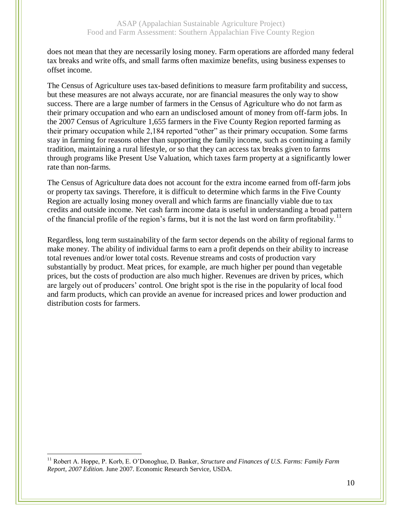does not mean that they are necessarily losing money. Farm operations are afforded many federal tax breaks and write offs, and small farms often maximize benefits, using business expenses to offset income.

The Census of Agriculture uses tax-based definitions to measure farm profitability and success, but these measures are not always accurate, nor are financial measures the only way to show success. There are a large number of farmers in the Census of Agriculture who do not farm as their primary occupation and who earn an undisclosed amount of money from off-farm jobs. In the 2007 Census of Agriculture 1,655 farmers in the Five County Region reported farming as their primary occupation while 2,184 reported "other" as their primary occupation. Some farms stay in farming for reasons other than supporting the family income, such as continuing a family tradition, maintaining a rural lifestyle, or so that they can access tax breaks given to farms through programs like Present Use Valuation, which taxes farm property at a significantly lower rate than non-farms.

The Census of Agriculture data does not account for the extra income earned from off-farm jobs or property tax savings. Therefore, it is difficult to determine which farms in the Five County Region are actually losing money overall and which farms are financially viable due to tax credits and outside income. Net cash farm income data is useful in understanding a broad pattern of the financial profile of the region's farms, but it is not the last word on farm profitability.<sup>11</sup>

Regardless, long term sustainability of the farm sector depends on the ability of regional farms to make money. The ability of individual farms to earn a profit depends on their ability to increase total revenues and/or lower total costs. Revenue streams and costs of production vary substantially by product. Meat prices, for example, are much higher per pound than vegetable prices, but the costs of production are also much higher. Revenues are driven by prices, which are largely out of producers' control. One bright spot is the rise in the popularity of local food and farm products, which can provide an avenue for increased prices and lower production and distribution costs for farmers.

<sup>11</sup> Robert A. Hoppe, P. Korb, E. O'Donoghue, D. Banker, *Structure and Finances of U.S. Farms: Family Farm Report, 2007 Edition.* June 2007. Economic Research Service, USDA.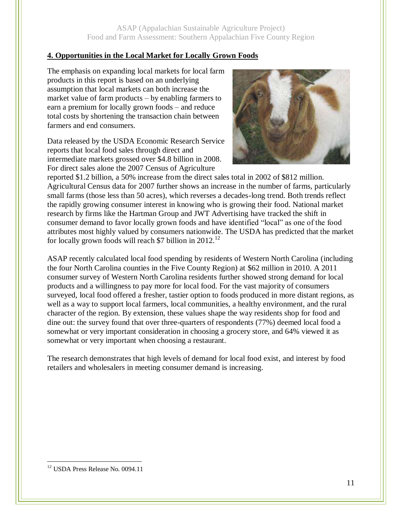# **4. Opportunities in the Local Market for Locally Grown Foods**

The emphasis on expanding local markets for local farm products in this report is based on an underlying assumption that local markets can both increase the market value of farm products – by enabling farmers to earn a premium for locally grown foods – and reduce total costs by shortening the transaction chain between farmers and end consumers.

Data released by the USDA Economic Research Service reports that local food sales through direct and intermediate markets grossed over \$4.8 billion in 2008. For direct sales alone the 2007 Census of Agriculture



reported \$1.2 billion, a 50% increase from the direct sales total in 2002 of \$812 million. Agricultural Census data for 2007 further shows an increase in the number of farms, particularly small farms (those less than 50 acres), which reverses a decades-long trend. Both trends reflect the rapidly growing consumer interest in knowing who is growing their food. National market research by firms like the Hartman Group and JWT Advertising have tracked the shift in consumer demand to favor locally grown foods and have identified "local" as one of the food attributes most highly valued by consumers nationwide. The USDA has predicted that the market for locally grown foods will reach \$7 billion in  $2012$ <sup>12</sup>

ASAP recently calculated local food spending by residents of Western North Carolina (including the four North Carolina counties in the Five County Region) at \$62 million in 2010. A 2011 consumer survey of Western North Carolina residents further showed strong demand for local products and a willingness to pay more for local food. For the vast majority of consumers surveyed, local food offered a fresher, tastier option to foods produced in more distant regions, as well as a way to support local farmers, local communities, a healthy environment, and the rural character of the region. By extension, these values shape the way residents shop for food and dine out: the survey found that over three-quarters of respondents (77%) deemed local food a somewhat or very important consideration in choosing a grocery store, and 64% viewed it as somewhat or very important when choosing a restaurant.

The research demonstrates that high levels of demand for local food exist, and interest by food retailers and wholesalers in meeting consumer demand is increasing.

<sup>&</sup>lt;sup>12</sup> USDA Press Release No. 0094.11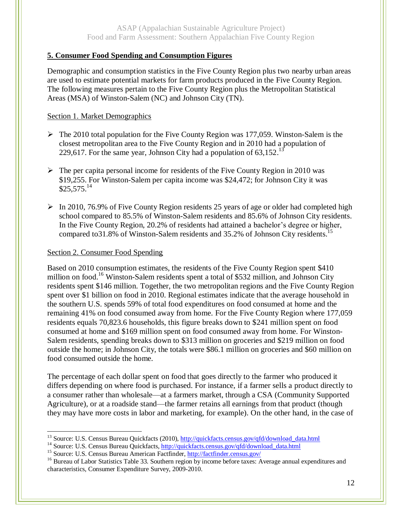## **5. Consumer Food Spending and Consumption Figures**

Demographic and consumption statistics in the Five County Region plus two nearby urban areas are used to estimate potential markets for farm products produced in the Five County Region. The following measures pertain to the Five County Region plus the Metropolitan Statistical Areas (MSA) of Winston-Salem (NC) and Johnson City (TN).

## Section 1. Market Demographics

- $\triangleright$  The 2010 total population for the Five County Region was 177,059. Winston-Salem is the closest metropolitan area to the Five County Region and in 2010 had a population of 229,617. For the same year, Johnson City had a population of  $63,152$ <sup>13</sup>
- $\triangleright$  The per capita personal income for residents of the Five County Region in 2010 was \$19,255. For Winston-Salem per capita income was \$24,472; for Johnson City it was  $$25,575.<sup>14</sup>$
- $\triangleright$  In 2010, 76.9% of Five County Region residents 25 years of age or older had completed high school compared to 85.5% of Winston-Salem residents and 85.6% of Johnson City residents. In the Five County Region, 20.2% of residents had attained a bachelor's degree or higher, compared to 31.8% of Winston-Salem residents and 35.2% of Johnson City residents.<sup>15</sup>

### Section 2. Consumer Food Spending

Based on 2010 consumption estimates, the residents of the Five County Region spent \$410 million on food.<sup>16</sup> Winston-Salem residents spent a total of \$532 million, and Johnson City residents spent \$146 million. Together, the two metropolitan regions and the Five County Region spent over \$1 billion on food in 2010. Regional estimates indicate that the average household in the southern U.S. spends 59% of total food expenditures on food consumed at home and the remaining 41% on food consumed away from home. For the Five County Region where 177,059 residents equals 70,823.6 households, this figure breaks down to \$241 million spent on food consumed at home and \$169 million spent on food consumed away from home. For Winston-Salem residents, spending breaks down to \$313 million on groceries and \$219 million on food outside the home; in Johnson City, the totals were \$86.1 million on groceries and \$60 million on food consumed outside the home.

The percentage of each dollar spent on food that goes directly to the farmer who produced it differs depending on where food is purchased. For instance, if a farmer sells a product directly to a consumer rather than wholesale—at a farmers market, through a CSA (Community Supported Agriculture), or at a roadside stand—the farmer retains all earnings from that product (though they may have more costs in labor and marketing, for example). On the other hand, in the case of

<sup>14</sup> Source: U.S. Census Bureau Quickfacts[, http://quickfacts.census.gov/qfd/download\\_data.html](http://quickfacts.census.gov/qfd/download_data.html)

 $\overline{a}$ <sup>13</sup> Source: U.S. Census Bureau Quickfacts (2010)[, http://quickfacts.census.gov/qfd/download\\_data.html](http://quickfacts.census.gov/qfd/download_data.html)

<sup>&</sup>lt;sup>15</sup> Source: U.S. Census Bureau American Factfinder,<http://factfinder.census.gov/>

<sup>&</sup>lt;sup>16</sup> Bureau of Labor Statistics Table 33. Southern region by income before taxes: Average annual expenditures and characteristics, Consumer Expenditure Survey, 2009-2010.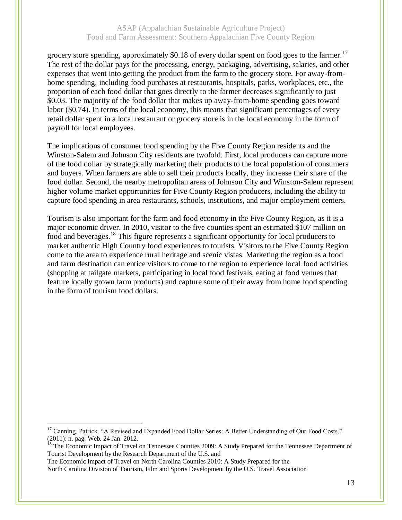grocery store spending, approximately \$0.18 of every dollar spent on food goes to the farmer.<sup>17</sup> The rest of the dollar pays for the processing, energy, packaging, advertising, salaries, and other expenses that went into getting the product from the farm to the grocery store. For away-fromhome spending, including food purchases at restaurants, hospitals, parks, workplaces, etc., the proportion of each food dollar that goes directly to the farmer decreases significantly to just \$0.03. The majority of the food dollar that makes up away-from-home spending goes toward labor (\$0.74). In terms of the local economy, this means that significant percentages of every retail dollar spent in a local restaurant or grocery store is in the local economy in the form of payroll for local employees.

The implications of consumer food spending by the Five County Region residents and the Winston-Salem and Johnson City residents are twofold. First, local producers can capture more of the food dollar by strategically marketing their products to the local population of consumers and buyers. When farmers are able to sell their products locally, they increase their share of the food dollar. Second, the nearby metropolitan areas of Johnson City and Winston-Salem represent higher volume market opportunities for Five County Region producers, including the ability to capture food spending in area restaurants, schools, institutions, and major employment centers.

Tourism is also important for the farm and food economy in the Five County Region, as it is a major economic driver. In 2010, visitor to the five counties spent an estimated \$107 million on food and beverages.<sup>18</sup> This figure represents a significant opportunity for local producers to market authentic High Country food experiences to tourists. Visitors to the Five County Region come to the area to experience rural heritage and scenic vistas. Marketing the region as a food and farm destination can entice visitors to come to the region to experience local food activities (shopping at tailgate markets, participating in local food festivals, eating at food venues that feature locally grown farm products) and capture some of their away from home food spending in the form of tourism food dollars.

<sup>18</sup> The Economic Impact of Travel on Tennessee Counties 2009: A Study Prepared for the Tennessee Department of Tourist Development by the Research Department of the U.S. and

The Economic Impact of Travel on North Carolina Counties 2010: A Study Prepared for the North Carolina Division of Tourism, Film and Sports Development by the U.S. Travel Association

<sup>&</sup>lt;sup>17</sup> Canning, Patrick. "A Revised and Expanded Food Dollar Series: A Better Understanding of Our Food Costs." (2011): n. pag. Web. 24 Jan. 2012.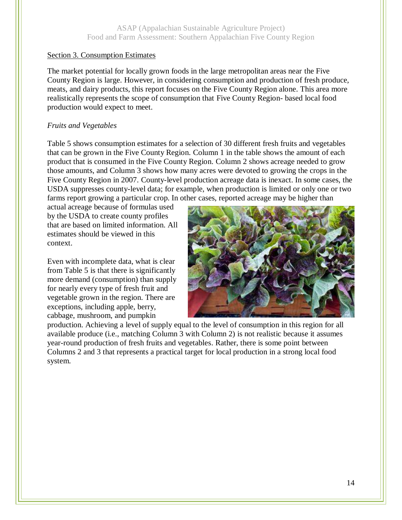#### Section 3. Consumption Estimates

The market potential for locally grown foods in the large metropolitan areas near the Five County Region is large. However, in considering consumption and production of fresh produce, meats, and dairy products, this report focuses on the Five County Region alone. This area more realistically represents the scope of consumption that Five County Region- based local food production would expect to meet.

#### *Fruits and Vegetables*

Table 5 shows consumption estimates for a selection of 30 different fresh fruits and vegetables that can be grown in the Five County Region. Column 1 in the table shows the amount of each product that is consumed in the Five County Region. Column 2 shows acreage needed to grow those amounts, and Column 3 shows how many acres were devoted to growing the crops in the Five County Region in 2007. County-level production acreage data is inexact. In some cases, the USDA suppresses county-level data; for example, when production is limited or only one or two farms report growing a particular crop. In other cases, reported acreage may be higher than

actual acreage because of formulas used by the USDA to create county profiles that are based on limited information. All estimates should be viewed in this context.

Even with incomplete data, what is clear from Table 5 is that there is significantly more demand (consumption) than supply for nearly every type of fresh fruit and vegetable grown in the region. There are exceptions, including apple, berry, cabbage, mushroom, and pumpkin



production. Achieving a level of supply equal to the level of consumption in this region for all available produce (i.e., matching Column 3 with Column 2) is not realistic because it assumes year-round production of fresh fruits and vegetables. Rather, there is some point between Columns 2 and 3 that represents a practical target for local production in a strong local food system.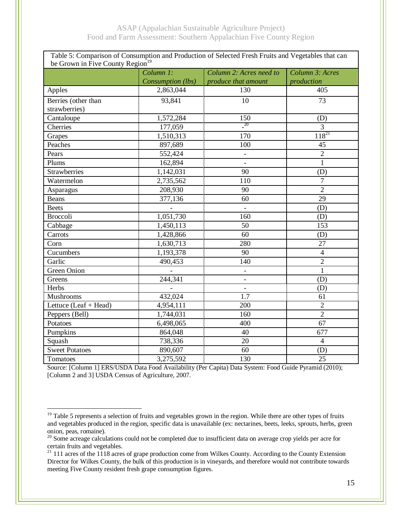| Table 5: Comparison of Consumption and Production of Selected Fresh Fruits and Vegetables that can |                      |                          |                 |  |  |
|----------------------------------------------------------------------------------------------------|----------------------|--------------------------|-----------------|--|--|
| be Grown in Five County Region <sup>19</sup>                                                       |                      |                          |                 |  |  |
|                                                                                                    | Column <sub>1:</sub> | Column 2: Acres need to  | Column 3: Acres |  |  |
|                                                                                                    | Consumption (lbs)    | produce that amount      | production      |  |  |
| Apples                                                                                             | 2,863,044            | 130                      | 405             |  |  |
| Berries (other than                                                                                | 93,841               | 10                       | 73              |  |  |
| strawberries)                                                                                      |                      |                          |                 |  |  |
| Cantaloupe                                                                                         | 1,572,284            | 150                      | (D)             |  |  |
| Cherries                                                                                           | 177,059              | $^{20}$                  | $\overline{3}$  |  |  |
| Grapes                                                                                             | 1,510,313            | 170                      | $118^{21}$      |  |  |
| Peaches                                                                                            | 897,689              | 100                      | 45              |  |  |
| Pears                                                                                              | 552,424              |                          | $\overline{2}$  |  |  |
| Plums                                                                                              | 162,894              |                          | $\mathbf{1}$    |  |  |
| Strawberries                                                                                       | 1,142,031            | 90                       | (D)             |  |  |
| Watermelon                                                                                         | 2,735,562            | 110                      | 7               |  |  |
| Asparagus                                                                                          | 208,930              | 90                       | $\overline{2}$  |  |  |
| <b>Beans</b>                                                                                       | 377,136              | 60                       | 29              |  |  |
| <b>Beets</b>                                                                                       |                      | $\overline{\phantom{0}}$ | (D)             |  |  |
| <b>Broccoli</b>                                                                                    | 1,051,730            | 160                      | (D)             |  |  |
| Cabbage                                                                                            | 1,450,113            | 50                       | 153             |  |  |
| Carrots                                                                                            | 1,428,866            | 60                       | (D)             |  |  |
| Corn                                                                                               | 1,630,713            | 280                      | 27              |  |  |
| Cucumbers                                                                                          | 1,193,378            | 90                       | $\overline{4}$  |  |  |
| Garlic                                                                                             | 490,453              | 140                      | $\overline{2}$  |  |  |
| Green Onion                                                                                        | $\overline{a}$       |                          | $\mathbf{1}$    |  |  |
| Greens                                                                                             | 244,341              | $\blacksquare$           | (D)             |  |  |
| Herbs                                                                                              |                      |                          | (D)             |  |  |
| Mushrooms                                                                                          | 432,024              | $\overline{1.7}$         | 61              |  |  |
| Lettuce $(Leaf + Head)$                                                                            | 4,954,111            | 200                      | $\overline{2}$  |  |  |
| Peppers (Bell)                                                                                     | 1,744,031            | 160                      | $\overline{2}$  |  |  |
| Potatoes                                                                                           | 6,498,065            | 400                      | 67              |  |  |
| Pumpkins                                                                                           | 864,048              | 40                       | 677             |  |  |
| Squash                                                                                             | 738,336              | 20                       | $\overline{4}$  |  |  |
| <b>Sweet Potatoes</b>                                                                              | 890,607              | 60                       | (D)             |  |  |
| Tomatoes                                                                                           | 3,275,592            | 130                      | 25              |  |  |

Source: [Column 1] ERS/USDA Data Food Availability (Per Capita) Data System: Food Guide Pyramid (2010); [Column 2 and 3] USDA Census of Agriculture, 2007.

<sup>&</sup>lt;sup>19</sup> Table 5 represents a selection of fruits and vegetables grown in the region. While there are other types of fruits and vegetables produced in the region, specific data is unavailable (ex: nectarines, beets, leeks, sprouts, herbs, green onion, peas, romaine).

 $20$  Some acreage calculations could not be completed due to insufficient data on average crop yields per acre for certain fruits and vegetables.

 $21$  111 acres of the 1118 acres of grape production come from Wilkes County. According to the County Extension Director for Wilkes County, the bulk of this production is in vineyards, and therefore would not contribute towards meeting Five County resident fresh grape consumption figures.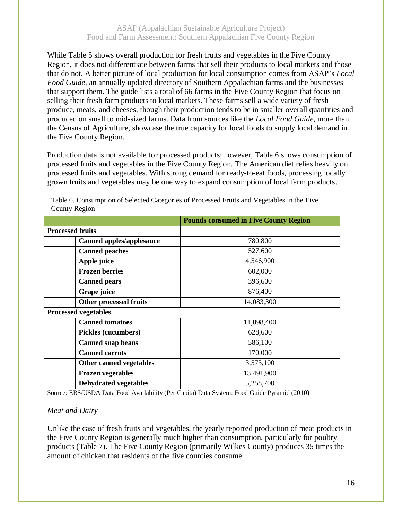While Table 5 shows overall production for fresh fruits and vegetables in the Five County Region, it does not differentiate between farms that sell their products to local markets and those that do not. A better picture of local production for local consumption comes from ASAP's *Local Food Guide*, an annually updated directory of Southern Appalachian farms and the businesses that support them. The guide lists a total of 66 farms in the Five County Region that focus on selling their fresh farm products to local markets. These farms sell a wide variety of fresh produce, meats, and cheeses, though their production tends to be in smaller overall quantities and produced on small to mid-sized farms. Data from sources like the *Local Food Guide*, more than the Census of Agriculture, showcase the true capacity for local foods to supply local demand in the Five County Region.

Production data is not available for processed products; however, Table 6 shows consumption of processed fruits and vegetables in the Five County Region. The American diet relies heavily on processed fruits and vegetables. With strong demand for ready-to-eat foods, processing locally grown fruits and vegetables may be one way to expand consumption of local farm products.

| COUIII y INCRIOII               |                                              |  |  |  |
|---------------------------------|----------------------------------------------|--|--|--|
|                                 | <b>Pounds consumed in Five County Region</b> |  |  |  |
| <b>Processed fruits</b>         |                                              |  |  |  |
| <b>Canned apples/applesauce</b> | 780,800                                      |  |  |  |
| <b>Canned peaches</b>           | 527,600                                      |  |  |  |
| Apple juice                     | 4,546,900                                    |  |  |  |
| <b>Frozen berries</b>           | 602,000                                      |  |  |  |
| <b>Canned pears</b>             | 396,600                                      |  |  |  |
| Grape juice                     | 876,400                                      |  |  |  |
| Other processed fruits          | 14,083,300                                   |  |  |  |
| <b>Processed vegetables</b>     |                                              |  |  |  |
| <b>Canned tomatoes</b>          | 11,898,400                                   |  |  |  |
| Pickles (cucumbers)             | 628,600                                      |  |  |  |
| <b>Canned snap beans</b>        | 586,100                                      |  |  |  |
| <b>Canned carrots</b>           | 170,000                                      |  |  |  |
| Other canned vegetables         | 3,573,100                                    |  |  |  |
| <b>Frozen vegetables</b>        | 13,491,900                                   |  |  |  |
| <b>Dehydrated vegetables</b>    | 5,258,700                                    |  |  |  |

Table 6. Consumption of Selected Categories of Processed Fruits and Vegetables in the Five County Region

Source: ERS/USDA Data Food Availability (Per Capita) Data System: Food Guide Pyramid (2010)

#### *Meat and Dairy*

Unlike the case of fresh fruits and vegetables, the yearly reported production of meat products in the Five County Region is generally much higher than consumption, particularly for poultry products (Table 7). The Five County Region (primarily Wilkes County) produces 35 times the amount of chicken that residents of the five counties consume.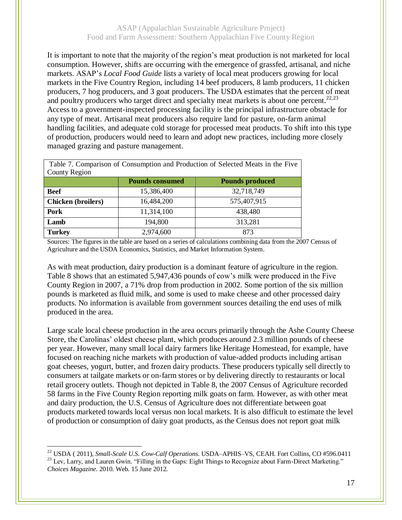It is important to note that the majority of the region's meat production is not marketed for local consumption. However, shifts are occurring with the emergence of grassfed, artisanal, and niche markets. ASAP's *Local Food Guide* lists a variety of local meat producers growing for local markets in the Five Country Region, including 14 beef producers, 8 lamb producers, 11 chicken producers, 7 hog producers, and 3 goat producers. The USDA estimates that the percent of meat and poultry producers who target direct and specialty meat markets is about one percent.<sup>22,23</sup> Access to a government-inspected processing facility is the principal infrastructure obstacle for any type of meat. Artisanal meat producers also require land for pasture, on-farm animal handling facilities, and adequate cold storage for processed meat products. To shift into this type of production, producers would need to learn and adopt new practices, including more closely managed grazing and pasture management.

| Table 7. Comparison of Consumption and Production of Selected Meats in the Five |                        |                        |  |  |  |
|---------------------------------------------------------------------------------|------------------------|------------------------|--|--|--|
| County Region                                                                   |                        |                        |  |  |  |
|                                                                                 | <b>Pounds consumed</b> | <b>Pounds produced</b> |  |  |  |
| <b>Beef</b>                                                                     | 15,386,400             | 32,718,749             |  |  |  |
| <b>Chicken</b> (broilers)                                                       | 16,484,200             | 575,407,915            |  |  |  |
| Pork                                                                            | 11,314,100             | 438,480                |  |  |  |
| Lamb                                                                            | 194,800                | 313,281                |  |  |  |
| <b>Turkey</b>                                                                   | 2,974,600              | 873                    |  |  |  |

Sources: The figures in the table are based on a series of calculations combining data from the 2007 Census of Agriculture and the USDA Economics, Statistics, and Market Information System.

As with meat production, dairy production is a dominant feature of agriculture in the region. Table 8 shows that an estimated 5,947,436 pounds of cow's milk were produced in the Five County Region in 2007, a 71% drop from production in 2002. Some portion of the six million pounds is marketed as fluid milk, and some is used to make cheese and other processed dairy products. No information is available from government sources detailing the end uses of milk produced in the area.

Large scale local cheese production in the area occurs primarily through the Ashe County Cheese Store, the Carolinas' oldest cheese plant, which produces around 2.3 million pounds of cheese per year. However, many small local dairy farmers like Heritage Homestead, for example, have focused on reaching niche markets with production of value-added products including artisan goat cheeses, yogurt, butter, and frozen dairy products. These producers typically sell directly to consumers at tailgate markets or on-farm stores or by delivering directly to restaurants or local retail grocery outlets. Though not depicted in Table 8, the 2007 Census of Agriculture recorded 58 farms in the Five County Region reporting milk goats on farm. However, as with other meat and dairy production, the U.S. Census of Agriculture does not differentiate between goat products marketed towards local versus non local markets. It is also difficult to estimate the level of production or consumption of dairy goat products, as the Census does not report goat milk

<sup>22</sup> USDA ( 2011), *Small-Scale U.S. Cow-Calf Operations*. USDA–APHIS–VS, CEAH. Fort Collins, CO #596.0411 <sup>23</sup> Lev, Larry, and Lauren Gwin. "Filling in the Gaps: Eight Things to Recognize about Farm-Direct Marketing." *Choices Magazine*. 2010. Web. 15 June 2012.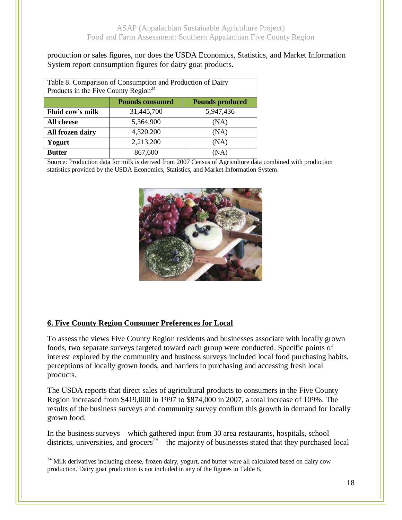production or sales figures, nor does the USDA Economics, Statistics, and Market Information System report consumption figures for dairy goat products.

| Table 8. Comparison of Consumption and Production of Dairy<br>Products in the Five County Region <sup>24</sup> |            |           |  |  |  |
|----------------------------------------------------------------------------------------------------------------|------------|-----------|--|--|--|
| <b>Pounds consumed</b><br><b>Pounds produced</b>                                                               |            |           |  |  |  |
| Fluid cow's milk                                                                                               | 31,445,700 | 5,947,436 |  |  |  |
| All cheese                                                                                                     | 5,364,900  | (NA)      |  |  |  |
| All frozen dairy                                                                                               | 4,320,200  | (NA)      |  |  |  |
| Yogurt                                                                                                         | 2,213,200  | (NA)      |  |  |  |
| <b>Butter</b>                                                                                                  | 867,600    | (NA)      |  |  |  |

Source: Production data for milk is derived from 2007 Census of Agriculture data combined with production statistics provided by the USDA Economics, Statistics, and Market Information System.



# **6. Five County Region Consumer Preferences for Local**

 $\overline{a}$ 

To assess the views Five County Region residents and businesses associate with locally grown foods, two separate surveys targeted toward each group were conducted. Specific points of interest explored by the community and business surveys included local food purchasing habits, perceptions of locally grown foods, and barriers to purchasing and accessing fresh local products.

The USDA reports that direct sales of agricultural products to consumers in the Five County Region increased from \$419,000 in 1997 to \$874,000 in 2007, a total increase of 109%. The results of the business surveys and community survey confirm this growth in demand for locally grown food.

In the business surveys—which gathered input from 30 area restaurants, hospitals, school districts, universities, and grocers<sup>25</sup>—the majority of businesses stated that they purchased local

<sup>&</sup>lt;sup>24</sup> Milk derivatives including cheese, frozen dairy, yogurt, and butter were all calculated based on dairy cow production. Dairy goat production is not included in any of the figures in Table 8.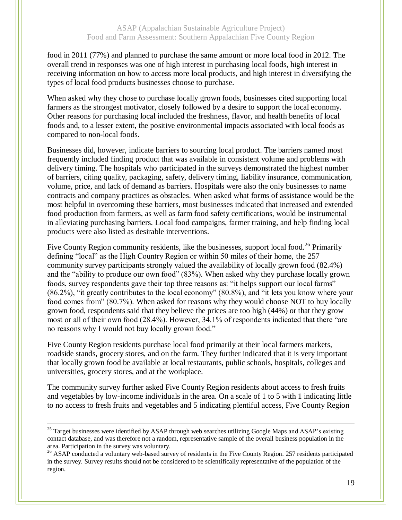food in 2011 (77%) and planned to purchase the same amount or more local food in 2012. The overall trend in responses was one of high interest in purchasing local foods, high interest in receiving information on how to access more local products, and high interest in diversifying the types of local food products businesses choose to purchase.

When asked why they chose to purchase locally grown foods, businesses cited supporting local farmers as the strongest motivator, closely followed by a desire to support the local economy. Other reasons for purchasing local included the freshness, flavor, and health benefits of local foods and, to a lesser extent, the positive environmental impacts associated with local foods as compared to non-local foods.

Businesses did, however, indicate barriers to sourcing local product. The barriers named most frequently included finding product that was available in consistent volume and problems with delivery timing. The hospitals who participated in the surveys demonstrated the highest number of barriers, citing quality, packaging, safety, delivery timing, liability insurance, communication, volume, price, and lack of demand as barriers. Hospitals were also the only businesses to name contracts and company practices as obstacles. When asked what forms of assistance would be the most helpful in overcoming these barriers, most businesses indicated that increased and extended food production from farmers, as well as farm food safety certifications, would be instrumental in alleviating purchasing barriers. Local food campaigns, farmer training, and help finding local products were also listed as desirable interventions.

Five County Region community residents, like the businesses, support local food.<sup>26</sup> Primarily defining "local" as the High Country Region or within 50 miles of their home, the 257 community survey participants strongly valued the availability of locally grown food (82.4%) and the "ability to produce our own food" (83%). When asked why they purchase locally grown foods, survey respondents gave their top three reasons as: "it helps support our local farms" (86.2%), "it greatly contributes to the local economy" (80.8%), and "it lets you know where your food comes from" (80.7%). When asked for reasons why they would choose NOT to buy locally grown food, respondents said that they believe the prices are too high (44%) or that they grow most or all of their own food (28.4%). However, 34.1% of respondents indicated that there "are no reasons why I would not buy locally grown food."

Five County Region residents purchase local food primarily at their local farmers markets, roadside stands, grocery stores, and on the farm. They further indicated that it is very important that locally grown food be available at local restaurants, public schools, hospitals, colleges and universities, grocery stores, and at the workplace.

The community survey further asked Five County Region residents about access to fresh fruits and vegetables by low-income individuals in the area. On a scale of 1 to 5 with 1 indicating little to no access to fresh fruits and vegetables and 5 indicating plentiful access, Five County Region

<sup>&</sup>lt;sup>25</sup> Target businesses were identified by ASAP through web searches utilizing Google Maps and ASAP's existing contact database, and was therefore not a random, representative sample of the overall business population in the area. Participation in the survey was voluntary.

<sup>&</sup>lt;sup>26</sup> ASAP conducted a voluntary web-based survey of residents in the Five County Region. 257 residents participated in the survey. Survey results should not be considered to be scientifically representative of the population of the region.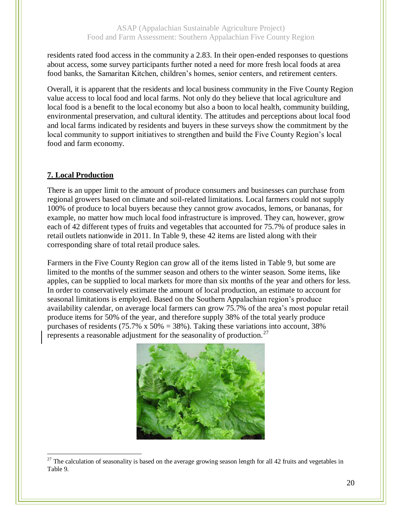residents rated food access in the community a 2.83. In their open-ended responses to questions about access, some survey participants further noted a need for more fresh local foods at area food banks, the Samaritan Kitchen, children's homes, senior centers, and retirement centers.

Overall, it is apparent that the residents and local business community in the Five County Region value access to local food and local farms. Not only do they believe that local agriculture and local food is a benefit to the local economy but also a boon to local health, community building, environmental preservation, and cultural identity. The attitudes and perceptions about local food and local farms indicated by residents and buyers in these surveys show the commitment by the local community to support initiatives to strengthen and build the Five County Region's local food and farm economy.

## **7. Local Production**

 $\overline{a}$ 

There is an upper limit to the amount of produce consumers and businesses can purchase from regional growers based on climate and soil-related limitations. Local farmers could not supply 100% of produce to local buyers because they cannot grow avocados, lemons, or bananas, for example, no matter how much local food infrastructure is improved. They can, however, grow each of 42 different types of fruits and vegetables that accounted for 75.7% of produce sales in retail outlets nationwide in 2011. In Table 9, these 42 items are listed along with their corresponding share of total retail produce sales.

Farmers in the Five County Region can grow all of the items listed in Table 9, but some are limited to the months of the summer season and others to the winter season. Some items, like apples, can be supplied to local markets for more than six months of the year and others for less. In order to conservatively estimate the amount of local production, an estimate to account for seasonal limitations is employed. Based on the Southern Appalachian region's produce availability calendar, on average local farmers can grow 75.7% of the area's most popular retail produce items for 50% of the year, and therefore supply 38% of the total yearly produce purchases of residents (75.7% x 50% = 38%). Taking these variations into account, 38% represents a reasonable adjustment for the seasonality of production.<sup>27</sup>



 $27$  The calculation of seasonality is based on the average growing season length for all 42 fruits and vegetables in Table 9.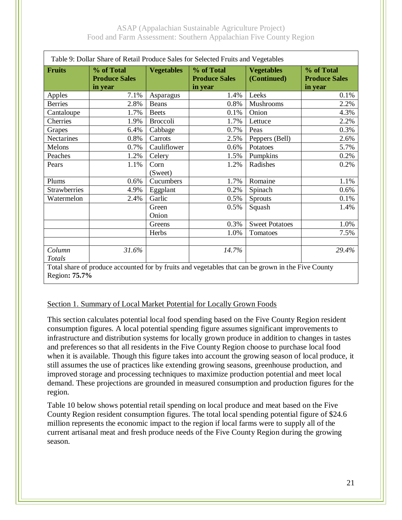| Table 9: Dollar Share of Retail Produce Sales for Selected Fruits and Vegetables                   |                                               |                   |                                               |                                  |                                               |  |  |
|----------------------------------------------------------------------------------------------------|-----------------------------------------------|-------------------|-----------------------------------------------|----------------------------------|-----------------------------------------------|--|--|
| <b>Fruits</b>                                                                                      | % of Total<br><b>Produce Sales</b><br>in year | <b>Vegetables</b> | % of Total<br><b>Produce Sales</b><br>in year | <b>Vegetables</b><br>(Continued) | % of Total<br><b>Produce Sales</b><br>in year |  |  |
| Apples                                                                                             | 7.1%                                          | Asparagus         | 1.4%                                          | Leeks                            | 0.1%                                          |  |  |
| <b>Berries</b>                                                                                     | 2.8%                                          | <b>Beans</b>      | 0.8%                                          | Mushrooms                        | 2.2%                                          |  |  |
| Cantaloupe                                                                                         | 1.7%                                          | <b>Beets</b>      | 0.1%                                          | Onion                            | 4.3%                                          |  |  |
| Cherries                                                                                           | 1.9%                                          | Broccoli          | 1.7%                                          | Lettuce                          | 2.2%                                          |  |  |
| Grapes                                                                                             | 6.4%                                          | Cabbage           | 0.7%                                          | Peas                             | 0.3%                                          |  |  |
| Nectarines                                                                                         | 0.8%                                          | Carrots           | 2.5%                                          | Peppers (Bell)                   | 2.6%                                          |  |  |
| Melons                                                                                             | 0.7%                                          | Cauliflower       | 0.6%                                          | Potatoes                         | 5.7%                                          |  |  |
| Peaches                                                                                            | 1.2%                                          | Celery            | 1.5%                                          | Pumpkins                         | 0.2%                                          |  |  |
| Pears                                                                                              | 1.1%                                          | Corn              | 1.2%                                          | Radishes                         | 0.2%                                          |  |  |
|                                                                                                    |                                               | (Sweet)           |                                               |                                  |                                               |  |  |
| Plums                                                                                              | 0.6%                                          | Cucumbers         | 1.7%                                          | Romaine                          | 1.1%                                          |  |  |
| Strawberries                                                                                       | 4.9%                                          | Eggplant          | 0.2%                                          | Spinach                          | 0.6%                                          |  |  |
| Watermelon                                                                                         | 2.4%                                          | Garlic            | 0.5%                                          | <b>Sprouts</b>                   | 0.1%                                          |  |  |
|                                                                                                    |                                               | Green             | 0.5%                                          | Squash                           | 1.4%                                          |  |  |
|                                                                                                    |                                               | Onion             |                                               |                                  |                                               |  |  |
|                                                                                                    |                                               | Greens            | 0.3%                                          | <b>Sweet Potatoes</b>            | 1.0%                                          |  |  |
|                                                                                                    |                                               | Herbs             | 1.0%                                          | Tomatoes                         | 7.5%                                          |  |  |
|                                                                                                    |                                               |                   |                                               |                                  |                                               |  |  |
| Column                                                                                             | 31.6%                                         |                   | 14.7%                                         |                                  | 29.4%                                         |  |  |
| Totals                                                                                             |                                               |                   |                                               |                                  |                                               |  |  |
| Total share of produce accounted for by fruits and vegetables that can be grown in the Five County |                                               |                   |                                               |                                  |                                               |  |  |

Region**: 75.7%**

#### Section 1. Summary of Local Market Potential for Locally Grown Foods

This section calculates potential local food spending based on the Five County Region resident consumption figures. A local potential spending figure assumes significant improvements to infrastructure and distribution systems for locally grown produce in addition to changes in tastes and preferences so that all residents in the Five County Region choose to purchase local food when it is available. Though this figure takes into account the growing season of local produce, it still assumes the use of practices like extending growing seasons, greenhouse production, and improved storage and processing techniques to maximize production potential and meet local demand. These projections are grounded in measured consumption and production figures for the region.

Table 10 below shows potential retail spending on local produce and meat based on the Five County Region resident consumption figures. The total local spending potential figure of \$24.6 million represents the economic impact to the region if local farms were to supply all of the current artisanal meat and fresh produce needs of the Five County Region during the growing season.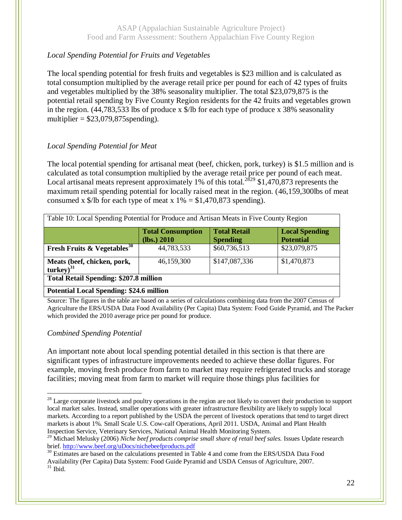# *Local Spending Potential for Fruits and Vegetables*

The local spending potential for fresh fruits and vegetables is \$23 million and is calculated as total consumption multiplied by the average retail price per pound for each of 42 types of fruits and vegetables multiplied by the 38% seasonality multiplier. The total \$23,079,875 is the potential retail spending by Five County Region residents for the 42 fruits and vegetables grown in the region. (44,783,533 lbs of produce x \$/lb for each type of produce x 38% seasonality multiplier  $= $23,079,875$ spending).

# *Local Spending Potential for Meat*

The local potential spending for artisanal meat (beef, chicken, pork, turkey) is \$1.5 million and is calculated as total consumption multiplied by the average retail price per pound of each meat. Local artisanal meats represent approximately 1% of this total.<sup>2829</sup> \$1,470,873 represents the maximum retail spending potential for locally raised meat in the region. (46,159,300lbs of meat consumed x  $\frac{1}{2}$ /lb for each type of meat x 1% = \$1,470,873 spending).

| Table 10: Local Spending Potential for Produce and Artisan Meats in Five County Region |                                         |                                        |                                           |  |  |  |  |
|----------------------------------------------------------------------------------------|-----------------------------------------|----------------------------------------|-------------------------------------------|--|--|--|--|
|                                                                                        | <b>Total Consumption</b><br>(lbs.) 2010 | <b>Total Retail</b><br><b>Spending</b> | <b>Local Spending</b><br><b>Potential</b> |  |  |  |  |
| <b>Fresh Fruits &amp; Vegetables</b> <sup>30</sup>                                     | 44,783,533                              | \$60,736,513                           | \$23,079,875                              |  |  |  |  |
| Meats (beef, chicken, pork,<br>$turkey)^{31}$                                          | 46,159,300                              | \$147,087,336                          | \$1,470,873                               |  |  |  |  |
| <b>Total Retail Spending: \$207.8 million</b>                                          |                                         |                                        |                                           |  |  |  |  |
| <b>Potential Local Spending: \$24.6 million</b>                                        |                                         |                                        |                                           |  |  |  |  |

Source: The figures in the table are based on a series of calculations combining data from the 2007 Census of Agriculture the ERS/USDA Data Food Availability (Per Capita) Data System: Food Guide Pyramid, and The Packer which provided the 2010 average price per pound for produce.

## *Combined Spending Potential*

An important note about local spending potential detailed in this section is that there are significant types of infrastructure improvements needed to achieve these dollar figures. For example, moving fresh produce from farm to market may require refrigerated trucks and storage facilities; moving meat from farm to market will require those things plus facilities for

 $28$  Large corporate livestock and poultry operations in the region are not likely to convert their production to support local market sales. Instead, smaller operations with greater infrastructure flexibility are likely to supply local markets. According to a report published by the USDA the percent of livestock operations that tend to target direct markets is about 1%. Small Scale U.S. Cow-calf Operations, April 2011. USDA, Animal and Plant Health Inspection Service, Veterinary Services, National Animal Health Monitoring System.

<sup>&</sup>lt;sup>29</sup> Michael Melusky (2006) *Niche beef products comprise small share of retail beef sales*. Issues Update research brief.<http://www.beef.org/uDocs/nichebeefproducts.pdf>

<sup>&</sup>lt;sup>30</sup> Estimates are based on the calculations presented in Table 4 and come from the ERS/USDA Data Food Availability (Per Capita) Data System: Food Guide Pyramid and USDA Census of Agriculture, 2007.

 $31$  Ibid.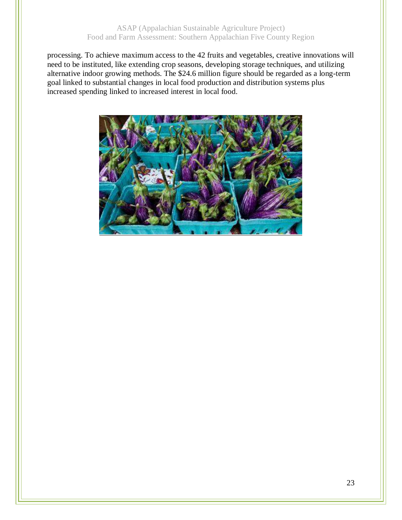processing. To achieve maximum access to the 42 fruits and vegetables, creative innovations will need to be instituted, like extending crop seasons, developing storage techniques, and utilizing alternative indoor growing methods. The \$24.6 million figure should be regarded as a long-term goal linked to substantial changes in local food production and distribution systems plus increased spending linked to increased interest in local food.

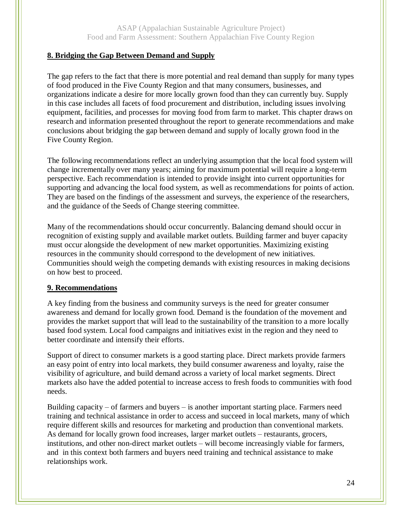### **8. Bridging the Gap Between Demand and Supply**

The gap refers to the fact that there is more potential and real demand than supply for many types of food produced in the Five County Region and that many consumers, businesses, and organizations indicate a desire for more locally grown food than they can currently buy. Supply in this case includes all facets of food procurement and distribution, including issues involving equipment, facilities, and processes for moving food from farm to market. This chapter draws on research and information presented throughout the report to generate recommendations and make conclusions about bridging the gap between demand and supply of locally grown food in the Five County Region.

The following recommendations reflect an underlying assumption that the local food system will change incrementally over many years; aiming for maximum potential will require a long-term perspective. Each recommendation is intended to provide insight into current opportunities for supporting and advancing the local food system, as well as recommendations for points of action. They are based on the findings of the assessment and surveys, the experience of the researchers, and the guidance of the Seeds of Change steering committee.

Many of the recommendations should occur concurrently. Balancing demand should occur in recognition of existing supply and available market outlets. Building farmer and buyer capacity must occur alongside the development of new market opportunities. Maximizing existing resources in the community should correspond to the development of new initiatives. Communities should weigh the competing demands with existing resources in making decisions on how best to proceed.

#### **9. Recommendations**

A key finding from the business and community surveys is the need for greater consumer awareness and demand for locally grown food. Demand is the foundation of the movement and provides the market support that will lead to the sustainability of the transition to a more locally based food system. Local food campaigns and initiatives exist in the region and they need to better coordinate and intensify their efforts.

Support of direct to consumer markets is a good starting place. Direct markets provide farmers an easy point of entry into local markets, they build consumer awareness and loyalty, raise the visibility of agriculture, and build demand across a variety of local market segments. Direct markets also have the added potential to increase access to fresh foods to communities with food needs.

Building capacity – of farmers and buyers – is another important starting place. Farmers need training and technical assistance in order to access and succeed in local markets, many of which require different skills and resources for marketing and production than conventional markets. As demand for locally grown food increases, larger market outlets – restaurants, grocers, institutions, and other non-direct market outlets – will become increasingly viable for farmers, and in this context both farmers and buyers need training and technical assistance to make relationships work.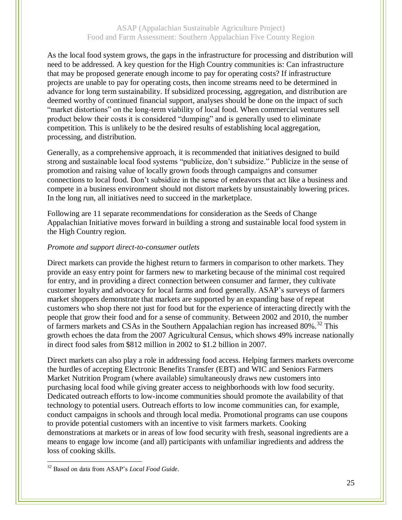As the local food system grows, the gaps in the infrastructure for processing and distribution will need to be addressed. A key question for the High Country communities is: Can infrastructure that may be proposed generate enough income to pay for operating costs? If infrastructure projects are unable to pay for operating costs, then income streams need to be determined in advance for long term sustainability. If subsidized processing, aggregation, and distribution are deemed worthy of continued financial support, analyses should be done on the impact of such "market distortions" on the long-term viability of local food. When commercial ventures sell product below their costs it is considered "dumping" and is generally used to eliminate competition. This is unlikely to be the desired results of establishing local aggregation, processing, and distribution.

Generally, as a comprehensive approach, it is recommended that initiatives designed to build strong and sustainable local food systems "publicize, don't subsidize." Publicize in the sense of promotion and raising value of locally grown foods through campaigns and consumer connections to local food. Don't subsidize in the sense of endeavors that act like a business and compete in a business environment should not distort markets by unsustainably lowering prices. In the long run, all initiatives need to succeed in the marketplace.

Following are 11 separate recommendations for consideration as the Seeds of Change Appalachian Initiative moves forward in building a strong and sustainable local food system in the High Country region.

#### *Promote and support direct-to-consumer outlets*

Direct markets can provide the highest return to farmers in comparison to other markets. They provide an easy entry point for farmers new to marketing because of the minimal cost required for entry, and in providing a direct connection between consumer and farmer, they cultivate customer loyalty and advocacy for local farms and food generally. ASAP's surveys of farmers market shoppers demonstrate that markets are supported by an expanding base of repeat customers who shop there not just for food but for the experience of interacting directly with the people that grow their food and for a sense of community. Between 2002 and 2010, the number of farmers markets and CSAs in the Southern Appalachian region has increased  $80\%$ .<sup>32</sup> This growth echoes the data from the 2007 Agricultural Census, which shows 49% increase nationally in direct food sales from \$812 million in 2002 to \$1.2 billion in 2007.

Direct markets can also play a role in addressing food access. Helping farmers markets overcome the hurdles of accepting Electronic Benefits Transfer (EBT) and WIC and Seniors Farmers Market Nutrition Program (where available) simultaneously draws new customers into purchasing local food while giving greater access to neighborhoods with low food security. Dedicated outreach efforts to low-income communities should promote the availability of that technology to potential users. Outreach efforts to low income communities can, for example, conduct campaigns in schools and through local media. Promotional programs can use coupons to provide potential customers with an incentive to visit farmers markets. Cooking demonstrations at markets or in areas of low food security with fresh, seasonal ingredients are a means to engage low income (and all) participants with unfamiliar ingredients and address the loss of cooking skills.

 $\overline{a}$ <sup>32</sup> Based on data from ASAP's *Local Food Guide*.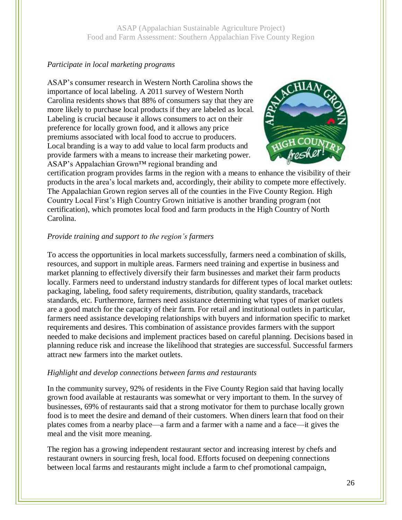#### *Participate in local marketing programs*

ASAP's consumer research in Western North Carolina shows the importance of local labeling. A 2011 survey of Western North Carolina residents shows that 88% of consumers say that they are more likely to purchase local products if they are labeled as local. Labeling is crucial because it allows consumers to act on their preference for locally grown food, and it allows any price premiums associated with local food to accrue to producers. Local branding is a way to add value to local farm products and provide farmers with a means to increase their marketing power. ASAP's Appalachian Grown™ regional branding and



certification program provides farms in the region with a means to enhance the visibility of their products in the area's local markets and, accordingly, their ability to compete more effectively. The Appalachian Grown region serves all of the counties in the Five County Region. High Country Local First's High Country Grown initiative is another branding program (not certification), which promotes local food and farm products in the High Country of North Carolina.

#### *Provide training and support to the region's farmers*

To access the opportunities in local markets successfully, farmers need a combination of skills, resources, and support in multiple areas. Farmers need training and expertise in business and market planning to effectively diversify their farm businesses and market their farm products locally. Farmers need to understand industry standards for different types of local market outlets: packaging, labeling, food safety requirements, distribution, quality standards, traceback standards, etc. Furthermore, farmers need assistance determining what types of market outlets are a good match for the capacity of their farm. For retail and institutional outlets in particular, farmers need assistance developing relationships with buyers and information specific to market requirements and desires. This combination of assistance provides farmers with the support needed to make decisions and implement practices based on careful planning. Decisions based in planning reduce risk and increase the likelihood that strategies are successful. Successful farmers attract new farmers into the market outlets.

#### *Highlight and develop connections between farms and restaurants*

In the community survey, 92% of residents in the Five County Region said that having locally grown food available at restaurants was somewhat or very important to them. In the survey of businesses, 69% of restaurants said that a strong motivator for them to purchase locally grown food is to meet the desire and demand of their customers. When diners learn that food on their plates comes from a nearby place—a farm and a farmer with a name and a face—it gives the meal and the visit more meaning.

The region has a growing independent restaurant sector and increasing interest by chefs and restaurant owners in sourcing fresh, local food. Efforts focused on deepening connections between local farms and restaurants might include a farm to chef promotional campaign,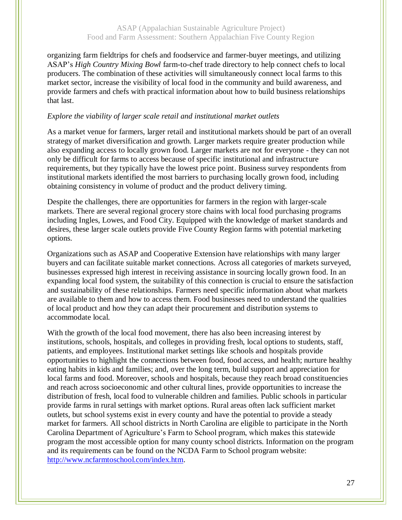organizing farm fieldtrips for chefs and foodservice and farmer-buyer meetings, and utilizing ASAP's *High Country Mixing Bowl* farm-to-chef trade directory to help connect chefs to local producers. The combination of these activities will simultaneously connect local farms to this market sector, increase the visibility of local food in the community and build awareness, and provide farmers and chefs with practical information about how to build business relationships that last.

#### *Explore the viability of larger scale retail and institutional market outlets*

As a market venue for farmers, larger retail and institutional markets should be part of an overall strategy of market diversification and growth. Larger markets require greater production while also expanding access to locally grown food. Larger markets are not for everyone - they can not only be difficult for farms to access because of specific institutional and infrastructure requirements, but they typically have the lowest price point. Business survey respondents from institutional markets identified the most barriers to purchasing locally grown food, including obtaining consistency in volume of product and the product delivery timing.

Despite the challenges, there are opportunities for farmers in the region with larger-scale markets. There are several regional grocery store chains with local food purchasing programs including Ingles, Lowes, and Food City. Equipped with the knowledge of market standards and desires, these larger scale outlets provide Five County Region farms with potential marketing options.

Organizations such as ASAP and Cooperative Extension have relationships with many larger buyers and can facilitate suitable market connections. Across all categories of markets surveyed, businesses expressed high interest in receiving assistance in sourcing locally grown food. In an expanding local food system, the suitability of this connection is crucial to ensure the satisfaction and sustainability of these relationships. Farmers need specific information about what markets are available to them and how to access them. Food businesses need to understand the qualities of local product and how they can adapt their procurement and distribution systems to accommodate local.

With the growth of the local food movement, there has also been increasing interest by institutions, schools, hospitals, and colleges in providing fresh, local options to students, staff, patients, and employees. Institutional market settings like schools and hospitals provide opportunities to highlight the connections between food, food access, and health; nurture healthy eating habits in kids and families; and, over the long term, build support and appreciation for local farms and food. Moreover, schools and hospitals, because they reach broad constituencies and reach across socioeconomic and other cultural lines, provide opportunities to increase the distribution of fresh, local food to vulnerable children and families. Public schools in particular provide farms in rural settings with market options. Rural areas often lack sufficient market outlets, but school systems exist in every county and have the potential to provide a steady market for farmers. All school districts in North Carolina are eligible to participate in the North Carolina Department of Agriculture's Farm to School program, which makes this statewide program the most accessible option for many county school districts. Information on the program and its requirements can be found on the NCDA Farm to School program website: [http://www.ncfarmtoschool.com/index.htm.](http://www.ncfarmtoschool.com/index.htm)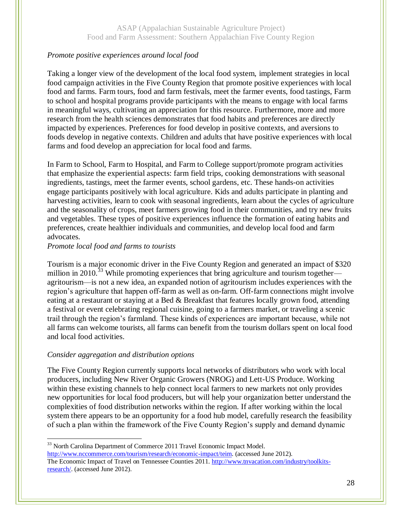### *Promote positive experiences around local food*

Taking a longer view of the development of the local food system, implement strategies in local food campaign activities in the Five County Region that promote positive experiences with local food and farms. Farm tours, food and farm festivals, meet the farmer events, food tastings, Farm to school and hospital programs provide participants with the means to engage with local farms in meaningful ways, cultivating an appreciation for this resource. Furthermore, more and more research from the health sciences demonstrates that food habits and preferences are directly impacted by experiences. Preferences for food develop in positive contexts, and aversions to foods develop in negative contexts. Children and adults that have positive experiences with local farms and food develop an appreciation for local food and farms.

In Farm to School, Farm to Hospital, and Farm to College support/promote program activities that emphasize the experiential aspects: farm field trips, cooking demonstrations with seasonal ingredients, tastings, meet the farmer events, school gardens, etc. These hands-on activities engage participants positively with local agriculture. Kids and adults participate in planting and harvesting activities, learn to cook with seasonal ingredients, learn about the cycles of agriculture and the seasonality of crops, meet farmers growing food in their communities, and try new fruits and vegetables. These types of positive experiences influence the formation of eating habits and preferences, create healthier individuals and communities, and develop local food and farm advocates.

#### *Promote local food and farms to tourists*

Tourism is a major economic driver in the Five County Region and generated an impact of \$320 million in 2010.<sup>33</sup> While promoting experiences that bring agriculture and tourism together agritourism—is not a new idea, an expanded notion of agritourism includes experiences with the region's agriculture that happen off-farm as well as on-farm. Off-farm connections might involve eating at a restaurant or staying at a Bed & Breakfast that features locally grown food, attending a festival or event celebrating regional cuisine, going to a farmers market, or traveling a scenic trail through the region's farmland. These kinds of experiences are important because, while not all farms can welcome tourists, all farms can benefit from the tourism dollars spent on local food and local food activities.

#### *Consider aggregation and distribution options*

 $\overline{a}$ 

The Five County Region currently supports local networks of distributors who work with local producers, including New River Organic Growers (NROG) and Lett-US Produce. Working within these existing channels to help connect local farmers to new markets not only provides new opportunities for local food producers, but will help your organization better understand the complexities of food distribution networks within the region. If after working within the local system there appears to be an opportunity for a food hub model, carefully research the feasibility of such a plan within the framework of the Five County Region's supply and demand dynamic

<sup>33</sup> North Carolina Department of Commerce 2011 Travel Economic Impact Model.

[http://www.nccommerce.com/tourism/research/economic-impact/teim.](http://www.nccommerce.com/tourism/research/economic-impact/teim) (accessed June 2012). The Economic Impact of Travel on Tennessee Counties 2011. [http://www.tnvacation.com/industry/toolkits](http://www.tnvacation.com/industry/toolkits-research/)[research/.](http://www.tnvacation.com/industry/toolkits-research/) (accessed June 2012).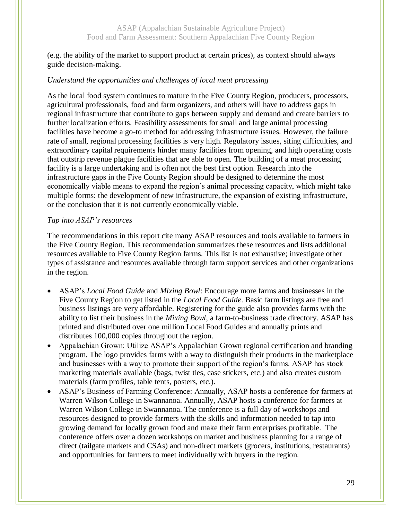(e.g. the ability of the market to support product at certain prices), as context should always guide decision-making.

#### *Understand the opportunities and challenges of local meat processing*

As the local food system continues to mature in the Five County Region, producers, processors, agricultural professionals, food and farm organizers, and others will have to address gaps in regional infrastructure that contribute to gaps between supply and demand and create barriers to further localization efforts. Feasibility assessments for small and large animal processing facilities have become a go-to method for addressing infrastructure issues. However, the failure rate of small, regional processing facilities is very high. Regulatory issues, siting difficulties, and extraordinary capital requirements hinder many facilities from opening, and high operating costs that outstrip revenue plague facilities that are able to open. The building of a meat processing facility is a large undertaking and is often not the best first option. Research into the infrastructure gaps in the Five County Region should be designed to determine the most economically viable means to expand the region's animal processing capacity, which might take multiple forms: the development of new infrastructure, the expansion of existing infrastructure, or the conclusion that it is not currently economically viable.

#### *Tap into ASAP's resources*

The recommendations in this report cite many ASAP resources and tools available to farmers in the Five County Region. This recommendation summarizes these resources and lists additional resources available to Five County Region farms. This list is not exhaustive; investigate other types of assistance and resources available through farm support services and other organizations in the region.

- ASAP's *Local Food Guide* and *Mixing Bowl*: Encourage more farms and businesses in the Five County Region to get listed in the *Local Food Guide*. Basic farm listings are free and business listings are very affordable. Registering for the guide also provides farms with the ability to list their business in the *Mixing Bowl*, a farm-to-business trade directory. ASAP has printed and distributed over one million Local Food Guides and annually prints and distributes 100,000 copies throughout the region.
- Appalachian Grown: Utilize ASAP's Appalachian Grown regional certification and branding program. The logo provides farms with a way to distinguish their products in the marketplace and businesses with a way to promote their support of the region's farms. ASAP has stock marketing materials available (bags, twist ties, case stickers, etc.) and also creates custom materials (farm profiles, table tents, posters, etc.).
- ASAP's Business of Farming Conference: Annually, ASAP hosts a conference for farmers at Warren Wilson College in Swannanoa. Annually, ASAP hosts a conference for farmers at Warren Wilson College in Swannanoa. The conference is a full day of workshops and resources designed to provide farmers with the skills and information needed to tap into growing demand for locally grown food and make their farm enterprises profitable. The conference offers over a dozen workshops on market and business planning for a range of direct (tailgate markets and CSAs) and non-direct markets (grocers, institutions, restaurants) and opportunities for farmers to meet individually with buyers in the region.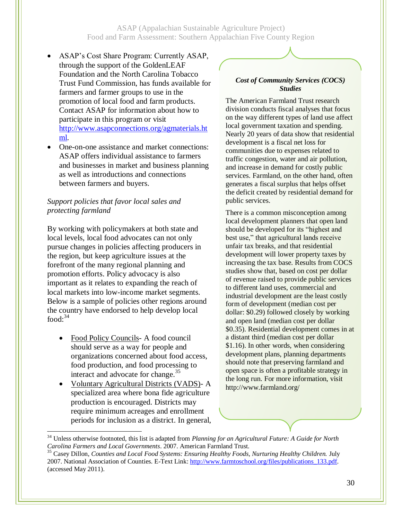- ASAP's Cost Share Program: Currently ASAP, through the support of the GoldenLEAF Foundation and the North Carolina Tobacco Trust Fund Commission, has funds available for farmers and farmer groups to use in the promotion of local food and farm products. Contact ASAP for information about how to participate in this program or visit [http://www.asapconnections.org/agmaterials.ht](http://www.asapconnections.org/agmaterials.html) [ml.](http://www.asapconnections.org/agmaterials.html)
- One-on-one assistance and market connections: ASAP offers individual assistance to farmers and businesses in market and business planning as well as introductions and connections between farmers and buyers.

#### *Support policies that favor local sales and protecting farmland*

By working with policymakers at both state and local levels, local food advocates can not only pursue changes in policies affecting producers in the region, but keep agriculture issues at the forefront of the many regional planning and promotion efforts. Policy advocacy is also important as it relates to expanding the reach of local markets into low-income market segments. Below is a sample of policies other regions around the country have endorsed to help develop local food: $34$ 

- Food Policy Councils- A food council should serve as a way for people and organizations concerned about food access, food production, and food processing to interact and advocate for change. $35$
- Voluntary Agricultural Districts (VADS)- A specialized area where bona fide agriculture production is encouraged. Districts may require minimum acreages and enrollment periods for inclusion as a district. In general,

 $\overline{a}$ 

#### *Cost of Community Services (COCS) Studies*

The American Farmland Trust research division conducts fiscal analyses that focus on the way different types of land use affect local government taxation and spending. Nearly 20 years of data show that residential development is a fiscal net loss for communities due to expenses related to traffic congestion, water and air pollution, and increase in demand for costly public services. Farmland, on the other hand, often generates a fiscal surplus that helps offset the deficit created by residential demand for public services.

There is a common misconception among local development planners that open land should be developed for its "highest and best use," that agricultural lands receive unfair tax breaks, and that residential development will lower property taxes by increasing the tax base. Results from COCS studies show that, based on cost per dollar of revenue raised to provide public services to different land uses, commercial and industrial development are the least costly form of development (median cost per dollar: \$0.29) followed closely by working and open land (median cost per dollar \$0.35). Residential development comes in at a distant third (median cost per dollar \$1.16). In other words, when considering development plans, planning departments should note that preserving farmland and open space is often a profitable strategy in the long run. For more information, visit http://www.farmland.org/

<sup>34</sup> Unless otherwise footnoted, this list is adapted from *Planning for an Agricultural Future: A Guide for North Carolina Farmers and Local Governments*. 2007. American Farmland Trust. <sup>35</sup> Casey Dillon, *Counties and Local Food Systems: Ensuring Healthy Foods, Nurturing Healthy Children. July* 

<sup>2007.</sup> National Association of Counties. E-Text Link[: http://www.farmtoschool.org/files/publications\\_133.pdf.](http://www.farmtoschool.org/files/publications_133.pdf) (accessed May 2011).